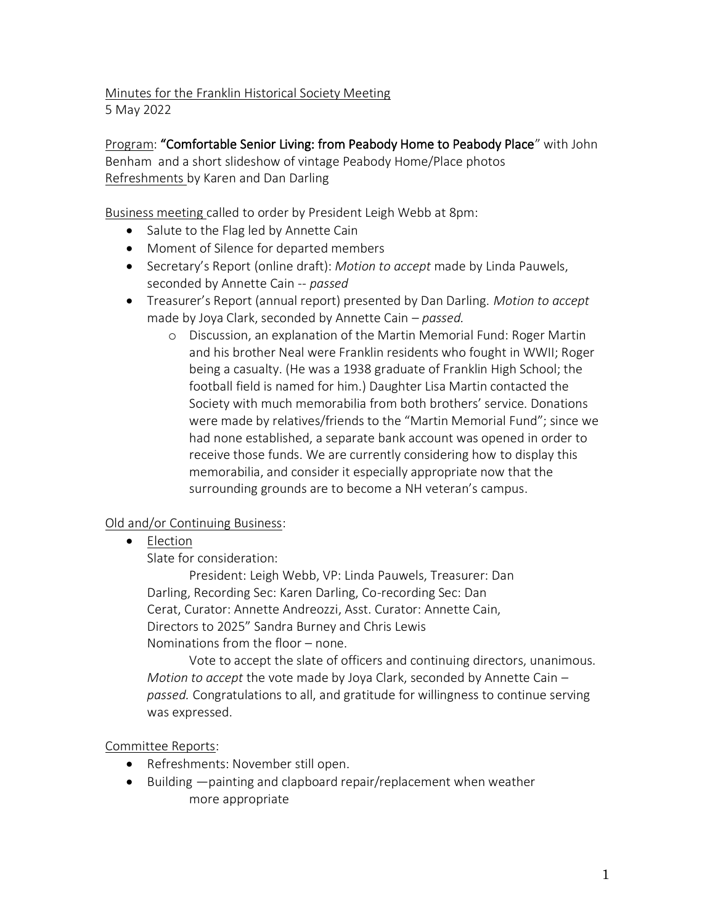Minutes for the Franklin Historical Society Meeting

5 May 2022

Program: "Comfortable Senior Living: from Peabody Home to Peabody Place" with John Benham and a short slideshow of vintage Peabody Home/Place photos Refreshments by Karen and Dan Darling

Business meeting called to order by President Leigh Webb at 8pm:

- Salute to the Flag led by Annette Cain
- Moment of Silence for departed members
- Secretary's Report (online draft): *Motion to accept* made by Linda Pauwels, seconded by Annette Cain -- *passed*
- Treasurer's Report (annual report) presented by Dan Darling. *Motion to accept*  made by Joya Clark, seconded by Annette Cain – *passed.*
	- o Discussion, an explanation of the Martin Memorial Fund: Roger Martin and his brother Neal were Franklin residents who fought in WWII; Roger being a casualty. (He was a 1938 graduate of Franklin High School; the football field is named for him.) Daughter Lisa Martin contacted the Society with much memorabilia from both brothers' service. Donations were made by relatives/friends to the "Martin Memorial Fund"; since we had none established, a separate bank account was opened in order to receive those funds. We are currently considering how to display this memorabilia, and consider it especially appropriate now that the surrounding grounds are to become a NH veteran's campus.

## Old and/or Continuing Business:

• Election

Slate for consideration:

President: Leigh Webb, VP: Linda Pauwels, Treasurer: Dan Darling, Recording Sec: Karen Darling, Co-recording Sec: Dan Cerat, Curator: Annette Andreozzi, Asst. Curator: Annette Cain, Directors to 2025" Sandra Burney and Chris Lewis Nominations from the floor – none.

Vote to accept the slate of officers and continuing directors, unanimous. *Motion to accept* the vote made by Joya Clark, seconded by Annette Cain – *passed.* Congratulations to all, and gratitude for willingness to continue serving was expressed.

Committee Reports:

- Refreshments: November still open.
- Building —painting and clapboard repair/replacement when weather more appropriate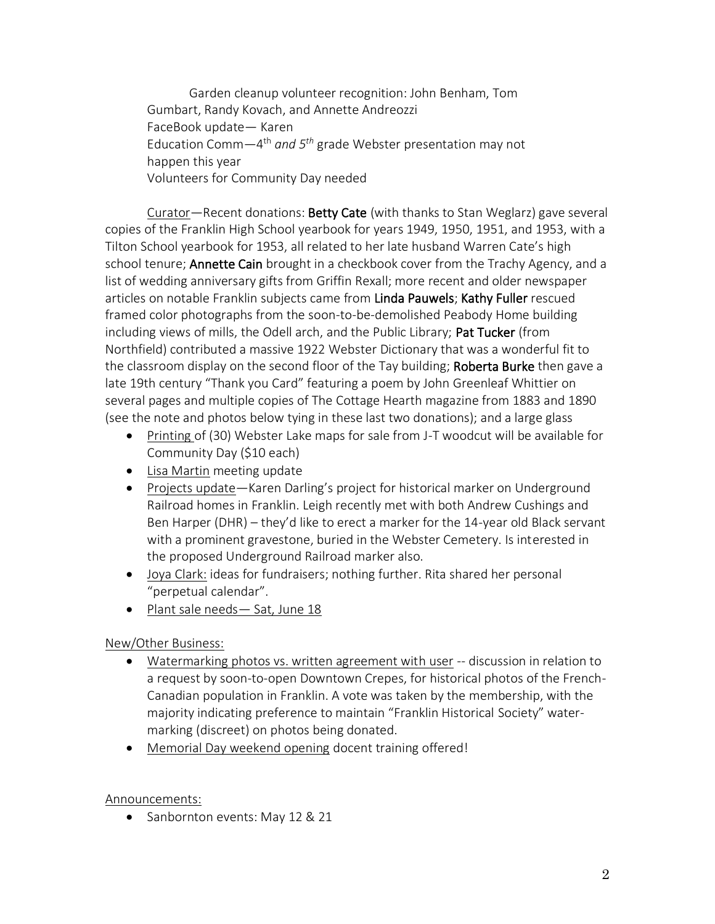Garden cleanup volunteer recognition: John Benham, Tom Gumbart, Randy Kovach, and Annette Andreozzi FaceBook update— Karen Education Comm—4 th *and 5th* grade Webster presentation may not happen this year Volunteers for Community Day needed

Curator—Recent donations: Betty Cate (with thanks to Stan Weglarz) gave several copies of the Franklin High School yearbook for years 1949, 1950, 1951, and 1953, with a Tilton School yearbook for 1953, all related to her late husband Warren Cate's high school tenure; **Annette Cain** brought in a checkbook cover from the Trachy Agency, and a list of wedding anniversary gifts from Griffin Rexall; more recent and older newspaper articles on notable Franklin subjects came from Linda Pauwels; Kathy Fuller rescued framed color photographs from the soon-to-be-demolished Peabody Home building including views of mills, the Odell arch, and the Public Library; Pat Tucker (from Northfield) contributed a massive 1922 Webster Dictionary that was a wonderful fit to the classroom display on the second floor of the Tay building; Roberta Burke then gave a late 19th century "Thank you Card" featuring a poem by John Greenleaf Whittier on several pages and multiple copies of The Cottage Hearth magazine from 1883 and 1890 (see the note and photos below tying in these last two donations); and a large glass

- Printing of (30) Webster Lake maps for sale from J-T woodcut will be available for Community Day (\$10 each)
- Lisa Martin meeting update
- Projects update—Karen Darling's project for historical marker on Underground Railroad homes in Franklin. Leigh recently met with both Andrew Cushings and Ben Harper (DHR) – they'd like to erect a marker for the 14-year old Black servant with a prominent gravestone, buried in the Webster Cemetery. Is interested in the proposed Underground Railroad marker also.
- Joya Clark: ideas for fundraisers; nothing further. Rita shared her personal "perpetual calendar".
- Plant sale needs Sat, June 18

## New/Other Business:

- Watermarking photos vs. written agreement with user -- discussion in relation to a request by soon-to-open Downtown Crepes, for historical photos of the French-Canadian population in Franklin. A vote was taken by the membership, with the majority indicating preference to maintain "Franklin Historical Society" watermarking (discreet) on photos being donated.
- Memorial Day weekend opening docent training offered!

## Announcements:

• Sanbornton events: May 12 & 21